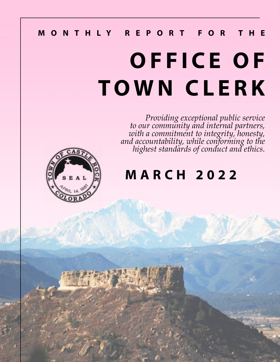# **MONTHLY REPORT FOR THE OFFICE OF TOWN CLERK**

*Providing exceptional public service to our community and internal partners, with a commitment to integrity, honesty, and accountability, while conforming to the highest standards of conduct and ethics.*

# **M A RCH 2022**

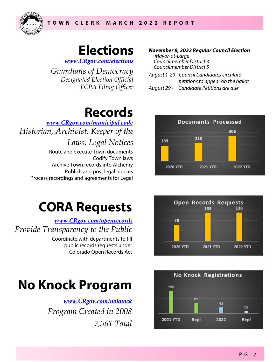

### **Elections**

*www.CRgov.com/elections*

*Guardians of Democracy Designated Election Official FCPA Filing Officer*

### **Records**

*Historian, Archivist, Keeper of the Laws, Legal Notices www.CRgov.com/municipal code* Route and execute Town documents Codify Town laws Archive Town records into Alchemy Publish and post legal notices

Process recordings and agreements for Legal

### **CORA Requests**

*Provide Transparency to the Public* Coordinate with departments to fill *www.CRgov.com/openrecords*

public records requests under Colorado Open Records Act

## **No Knock Program**

*www.CRgov.com/noknock Program Created in 2008 7,561 Total* **November 8, 2022 Regular Council Election** Mayor-at-Large Councilmember District 3 Councilmember District 5

August 1-29 - Council Candidates circulate petitions to appear on the ballot August 29 - Candidate Petitions are due